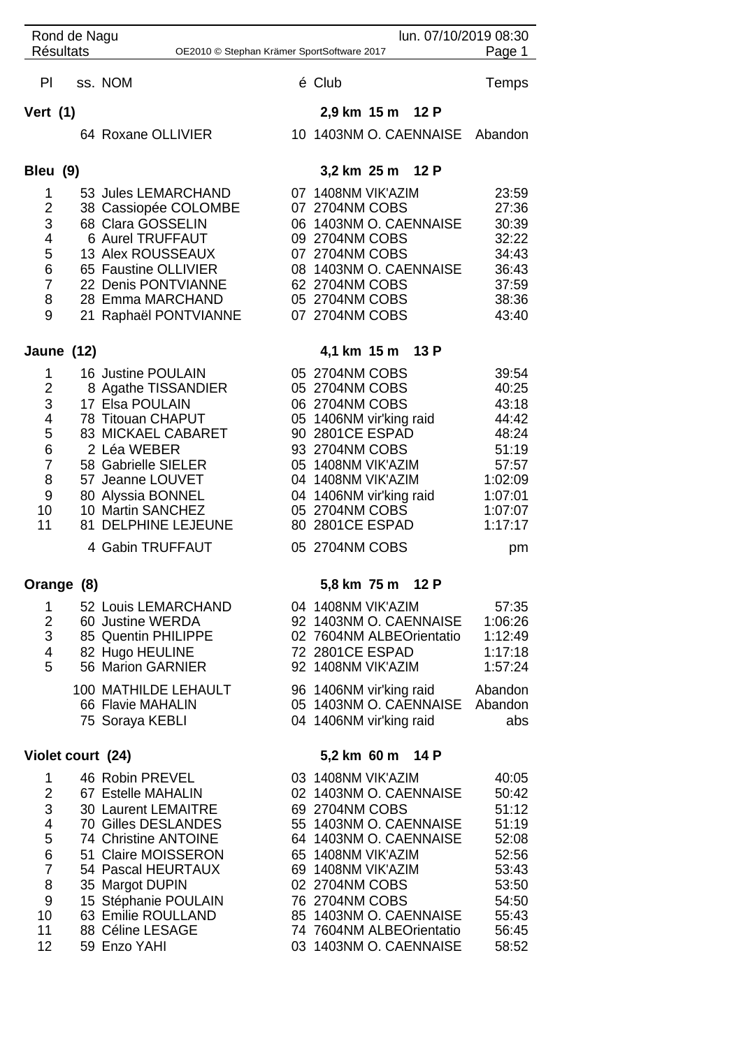|                                                                          | Rond de Nagu |                                         | lun. 07/10/2019 08:30 |                                          |  |                          |                                 |  |  |
|--------------------------------------------------------------------------|--------------|-----------------------------------------|-----------------------|------------------------------------------|--|--------------------------|---------------------------------|--|--|
| <b>Résultats</b><br>Page 1<br>OE2010 © Stephan Krämer SportSoftware 2017 |              |                                         |                       |                                          |  |                          |                                 |  |  |
| PI                                                                       |              | ss. NOM                                 |                       | é Club                                   |  |                          | Temps                           |  |  |
| Vert $(1)$                                                               |              |                                         |                       | 2,9 km 15 m 12 P                         |  |                          |                                 |  |  |
|                                                                          |              | 64 Roxane OLLIVIER                      |                       |                                          |  |                          | 10 1403NM O. CAENNAISE Abandon  |  |  |
| Bleu (9)                                                                 |              |                                         |                       | 3,2 km 25 m 12 P                         |  |                          |                                 |  |  |
| 1                                                                        |              | 53 Jules LEMARCHAND                     |                       | 07 1408NM VIK'AZIM                       |  |                          | 23:59                           |  |  |
| $\overline{2}$                                                           |              | 38 Cassiopée COLOMBE                    |                       | 07 2704NM COBS                           |  |                          | 27:36                           |  |  |
| 3                                                                        |              | 68 Clara GOSSELIN                       |                       | 06 1403NM O. CAENNAISE                   |  |                          | 30:39                           |  |  |
| 4                                                                        |              | 6 Aurel TRUFFAUT                        |                       | 09 2704NM COBS                           |  |                          | 32:22                           |  |  |
| 5                                                                        |              | 13 Alex ROUSSEAUX                       |                       | 07 2704NM COBS                           |  |                          | 34:43                           |  |  |
| 6                                                                        |              | 65 Faustine OLLIVIER                    |                       |                                          |  | 08 1403NM O. CAENNAISE   | 36:43                           |  |  |
| $\overline{7}$                                                           |              | 22 Denis PONTVIANNE                     |                       | 62 2704NM COBS                           |  |                          | 37:59                           |  |  |
| 8                                                                        |              | 28 Emma MARCHAND                        |                       | 05 2704NM COBS                           |  |                          | 38:36                           |  |  |
| 9                                                                        |              | 21 Raphaël PONTVIANNE                   |                       | 07 2704NM COBS                           |  |                          | 43:40                           |  |  |
|                                                                          | Jaune (12)   |                                         |                       | 4,1 km 15 m 13 P                         |  |                          |                                 |  |  |
| $\mathbf{1}$                                                             |              | 16 Justine POULAIN                      |                       | 05 2704NM COBS                           |  |                          | 39:54                           |  |  |
| $\overline{2}$                                                           |              | 8 Agathe TISSANDIER                     |                       | 05 2704NM COBS                           |  |                          | 40:25                           |  |  |
| $\mathfrak{B}$                                                           |              | 17 Elsa POULAIN                         |                       | 06 2704NM COBS                           |  |                          | 43:18                           |  |  |
| 4                                                                        |              | 78 Titouan CHAPUT                       |                       | 05 1406NM vir'king raid                  |  |                          | 44:42                           |  |  |
| 5                                                                        |              | <b>83 MICKAEL CABARET</b>               |                       | 90 2801CE ESPAD                          |  |                          | 48:24                           |  |  |
| 6<br>$\overline{7}$                                                      |              | 2 Léa WEBER                             |                       | 93 2704NM COBS                           |  |                          | 51:19                           |  |  |
| 8                                                                        |              | 58 Gabrielle SIELER<br>57 Jeanne LOUVET |                       | 05 1408NM VIK'AZIM<br>04 1408NM VIK'AZIM |  |                          | 57:57<br>1:02:09                |  |  |
| 9                                                                        |              | 80 Alyssia BONNEL                       |                       | 04 1406NM vir'king raid                  |  |                          | 1:07:01                         |  |  |
| 10                                                                       |              | 10 Martin SANCHEZ                       |                       | 05 2704NM COBS                           |  |                          | 1:07:07                         |  |  |
| 11                                                                       |              | 81 DELPHINE LEJEUNE                     |                       | 80 2801CE ESPAD                          |  |                          | 1:17:17                         |  |  |
|                                                                          |              | 4 Gabin TRUFFAUT                        |                       | 05 2704NM COBS                           |  |                          | pm                              |  |  |
|                                                                          | Orange (8)   |                                         |                       | 5,8 km 75 m                              |  | 12 P                     |                                 |  |  |
| $\mathbf 1$                                                              |              | 52 Louis LEMARCHAND                     |                       |                                          |  | 04 1408NM VIK'AZIM       | 57:35                           |  |  |
| $\overline{2}$                                                           |              | 60 Justine WERDA                        |                       |                                          |  | 92 1403NM O. CAENNAISE   | 1:06:26                         |  |  |
| 3                                                                        |              | 85 Quentin PHILIPPE                     |                       |                                          |  | 02 7604NM ALBEOrientatio | 1:12:49                         |  |  |
| 4                                                                        |              | 82 Hugo HEULINE                         |                       | 72 2801 CE ESPAD                         |  |                          | 1:17:18                         |  |  |
| 5                                                                        |              | 56 Marion GARNIER                       |                       | 92 1408NM VIK'AZIM                       |  |                          | 1:57:24                         |  |  |
|                                                                          |              | 100 MATHILDE LEHAULT                    |                       |                                          |  |                          | 96 1406NM vir'king raid Abandon |  |  |
|                                                                          |              | 66 Flavie MAHALIN                       |                       |                                          |  |                          | 05 1403NM O. CAENNAISE Abandon  |  |  |
|                                                                          |              | 75 Soraya KEBLI                         |                       | 04 1406NM vir'king raid                  |  |                          | abs                             |  |  |
| Violet court (24)                                                        |              |                                         |                       | 5,2 km 60 m 14 P                         |  |                          |                                 |  |  |
| $\mathbf 1$                                                              |              | 46 Robin PREVEL                         |                       | 03 1408NM VIK'AZIM                       |  |                          | 40:05                           |  |  |
| $\overline{2}$                                                           |              | 67 Estelle MAHALIN                      |                       | 02 1403NM O. CAENNAISE                   |  |                          | 50:42                           |  |  |
| 3                                                                        |              | 30 Laurent LEMAITRE                     |                       | 69 2704NM COBS                           |  |                          | 51:12                           |  |  |
| 4                                                                        |              | 70 Gilles DESLANDES                     |                       |                                          |  | 55 1403NM O. CAENNAISE   | 51:19                           |  |  |
| $\mathbf 5$                                                              |              | 74 Christine ANTOINE                    |                       |                                          |  | 64 1403NM O. CAENNAISE   | 52:08                           |  |  |
| 6                                                                        |              | 51 Claire MOISSERON                     |                       | 65 1408NM VIK'AZIM                       |  |                          | 52:56                           |  |  |
| $\overline{7}$                                                           |              | 54 Pascal HEURTAUX                      |                       | 69 1408NM VIK'AZIM                       |  |                          | 53:43                           |  |  |
| 8                                                                        |              | 35 Margot DUPIN                         |                       | 02 2704NM COBS                           |  |                          | 53:50                           |  |  |
| 9                                                                        |              | 15 Stéphanie POULAIN                    |                       | 76 2704NM COBS                           |  |                          | 54:50                           |  |  |
| 10                                                                       |              | 63 Emilie ROULLAND                      |                       |                                          |  | 85 1403NM O. CAENNAISE   | 55:43                           |  |  |
| 11                                                                       |              | 88 Céline LESAGE                        |                       |                                          |  | 74 7604NM ALBEOrientatio | 56:45                           |  |  |
| 12                                                                       |              | 59 Enzo YAHI                            |                       | 03 1403NM O. CAENNAISE                   |  |                          | 58:52                           |  |  |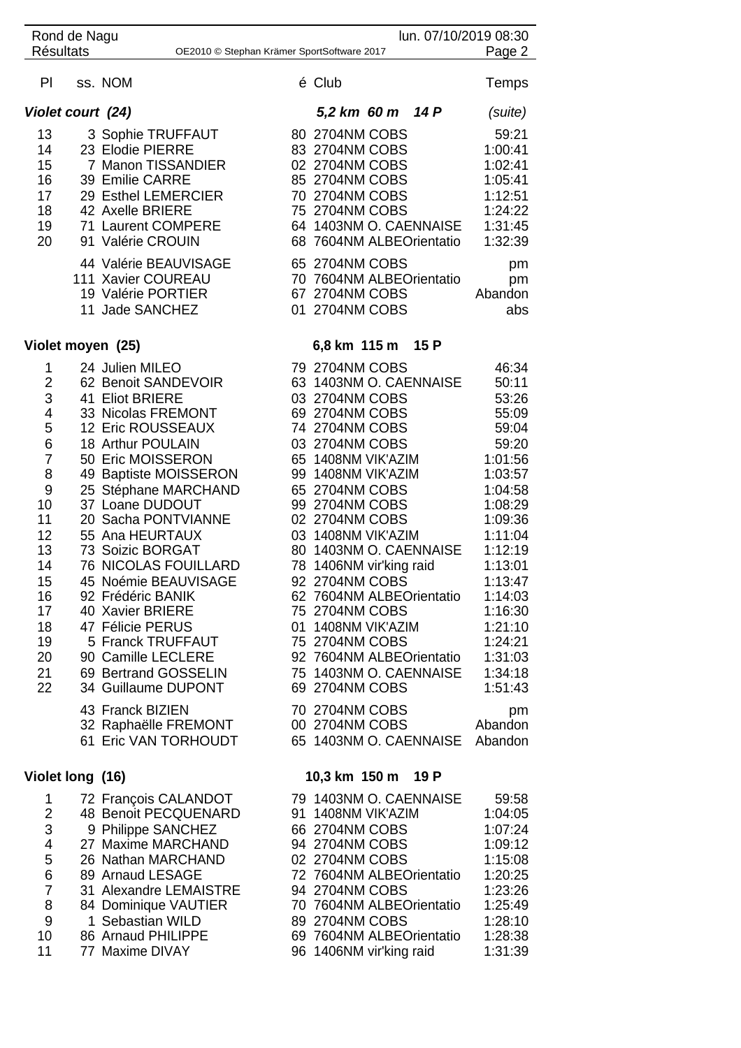| <b>Résultats</b>                                                                                                                                                             | Rond de Nagu                                                                                                                                                                                                                                                                                                                                                                                                                                                                                                       | lun. 07/10/2019 08:30<br>Page 2<br>OE2010 © Stephan Krämer SportSoftware 2017                                                                                                                                                                                                                                                                                                                                                                                                                                                                                                                                                                                                                                                               |
|------------------------------------------------------------------------------------------------------------------------------------------------------------------------------|--------------------------------------------------------------------------------------------------------------------------------------------------------------------------------------------------------------------------------------------------------------------------------------------------------------------------------------------------------------------------------------------------------------------------------------------------------------------------------------------------------------------|---------------------------------------------------------------------------------------------------------------------------------------------------------------------------------------------------------------------------------------------------------------------------------------------------------------------------------------------------------------------------------------------------------------------------------------------------------------------------------------------------------------------------------------------------------------------------------------------------------------------------------------------------------------------------------------------------------------------------------------------|
| PI                                                                                                                                                                           | ss. NOM                                                                                                                                                                                                                                                                                                                                                                                                                                                                                                            | é Club<br>Temps                                                                                                                                                                                                                                                                                                                                                                                                                                                                                                                                                                                                                                                                                                                             |
|                                                                                                                                                                              | Violet court (24)                                                                                                                                                                                                                                                                                                                                                                                                                                                                                                  | 5,2 km 60 m 14 P<br>(suite)                                                                                                                                                                                                                                                                                                                                                                                                                                                                                                                                                                                                                                                                                                                 |
| 13<br>14<br>15<br>16<br>17<br>18<br>19<br>20                                                                                                                                 | 3 Sophie TRUFFAUT<br>23 Elodie PIERRE<br>7 Manon TISSANDIER<br>39 Emilie CARRE<br>29 Esthel LEMERCIER<br>42 Axelle BRIERE<br>71 Laurent COMPERE<br>91 Valérie CROUIN<br>44 Valérie BEAUVISAGE<br>111 Xavier COUREAU<br>19 Valérie PORTIER<br>11 Jade SANCHEZ                                                                                                                                                                                                                                                       | 80 2704NM COBS<br>59:21<br>83 2704NM COBS<br>1:00:41<br>02 2704NM COBS<br>1:02:41<br>85 2704NM COBS<br>1:05:41<br>70 2704NM COBS<br>1:12:51<br>75 2704NM COBS<br>1:24:22<br>64 1403NM O. CAENNAISE<br>1:31:45<br>68 7604NM ALBEOrientatio<br>1:32:39<br>65 2704NM COBS<br>pm<br>70 7604NM ALBEOrientatio<br>pm<br>67 2704NM COBS<br>Abandon<br>01 2704NM COBS<br>abs                                                                                                                                                                                                                                                                                                                                                                        |
|                                                                                                                                                                              | Violet moyen (25)                                                                                                                                                                                                                                                                                                                                                                                                                                                                                                  | 6,8 km 115 m 15 P                                                                                                                                                                                                                                                                                                                                                                                                                                                                                                                                                                                                                                                                                                                           |
| 1<br>$\overline{2}$<br>3<br>$\overline{4}$<br>5<br>$6\phantom{1}6$<br>$\overline{7}$<br>8<br>9<br>10<br>11<br>12<br>13<br>14<br>15<br>16<br>17<br>18<br>19<br>20<br>21<br>22 | 24 Julien MILEO<br>62 Benoit SANDEVOIR<br>41 Eliot BRIERE<br>33 Nicolas FREMONT<br>12 Eric ROUSSEAUX<br>18 Arthur POULAIN<br>50 Eric MOISSERON<br>49 Baptiste MOISSERON<br>25 Stéphane MARCHAND<br>37 Loane DUDOUT<br>20 Sacha PONTVIANNE<br>55 Ana HEURTAUX<br>73 Soizic BORGAT<br><b>76 NICOLAS FOUILLARD</b><br>45 Noémie BEAUVISAGE<br>92 Frédéric BANIK<br>40 Xavier BRIERE<br>47 Félicie PERUS<br>5 Franck TRUFFAUT<br>90 Camille LECLERE<br>69 Bertrand GOSSELIN<br>34 Guillaume DUPONT<br>43 Franck BIZIEN | 79 2704NM COBS<br>46:34<br>63 1403NM O. CAENNAISE<br>50:11<br>03 2704NM COBS<br>53:26<br>69 2704NM COBS<br>55:09<br>74 2704NM COBS<br>59:04<br>03 2704NM COBS<br>59:20<br>65 1408NM VIK'AZIM<br>1:01:56<br>99 1408NM VIK'AZIM<br>1:03:57<br>65 2704NM COBS<br>1:04:58<br>99 2704NM COBS<br>1:08:29<br>02 2704NM COBS<br>1:09:36<br>03 1408NM VIK'AZIM<br>1:11:04<br>80 1403NM O. CAENNAISE<br>1:12:19<br>78 1406NM vir'king raid<br>1:13:01<br>92 2704NM COBS<br>1:13:47<br>62 7604NM ALBEOrientatio<br>1:14:03<br>75 2704NM COBS<br>1:16:30<br>01 1408NM VIK'AZIM<br>1:21:10<br>75 2704NM COBS<br>1:24:21<br>92 7604NM ALBEOrientatio<br>1:31:03<br>75 1403NM O. CAENNAISE<br>1:34:18<br>69 2704NM COBS<br>1:51:43<br>70 2704NM COBS<br>pm |
|                                                                                                                                                                              | 32 Raphaëlle FREMONT<br>61 Eric VAN TORHOUDT                                                                                                                                                                                                                                                                                                                                                                                                                                                                       | 00 2704NM COBS<br>Abandon<br>65 1403NM O. CAENNAISE<br>Abandon                                                                                                                                                                                                                                                                                                                                                                                                                                                                                                                                                                                                                                                                              |
|                                                                                                                                                                              | Violet long (16)                                                                                                                                                                                                                                                                                                                                                                                                                                                                                                   | 10,3 km 150 m 19 P                                                                                                                                                                                                                                                                                                                                                                                                                                                                                                                                                                                                                                                                                                                          |
| 1<br>$\overline{2}$<br>3<br>4<br>5<br>$6\phantom{1}6$<br>$\overline{7}$<br>8<br>9<br>10                                                                                      | 72 François CALANDOT<br>48 Benoit PECQUENARD<br>9 Philippe SANCHEZ<br>27 Maxime MARCHAND<br>26 Nathan MARCHAND<br>89 Arnaud LESAGE<br>31 Alexandre LEMAISTRE<br>84 Dominique VAUTIER<br>1 Sebastian WILD<br>86 Arnaud PHILIPPE                                                                                                                                                                                                                                                                                     | 79 1403NM O. CAENNAISE<br>59:58<br>91 1408NM VIK'AZIM<br>1:04:05<br>66 2704NM COBS<br>1:07:24<br>94 2704NM COBS<br>1:09:12<br>02 2704NM COBS<br>1:15:08<br>72 7604NM ALBEOrientatio<br>1:20:25<br>94 2704NM COBS<br>1:23:26<br>70 7604NM ALBEOrientatio<br>1:25:49<br>1:28:10<br>89 2704NM COBS<br>69 7604NM ALBEOrientatio<br>1:28:38                                                                                                                                                                                                                                                                                                                                                                                                      |

77 Maxime DIVAY 96 1406NM vir'king raid 1:31:39